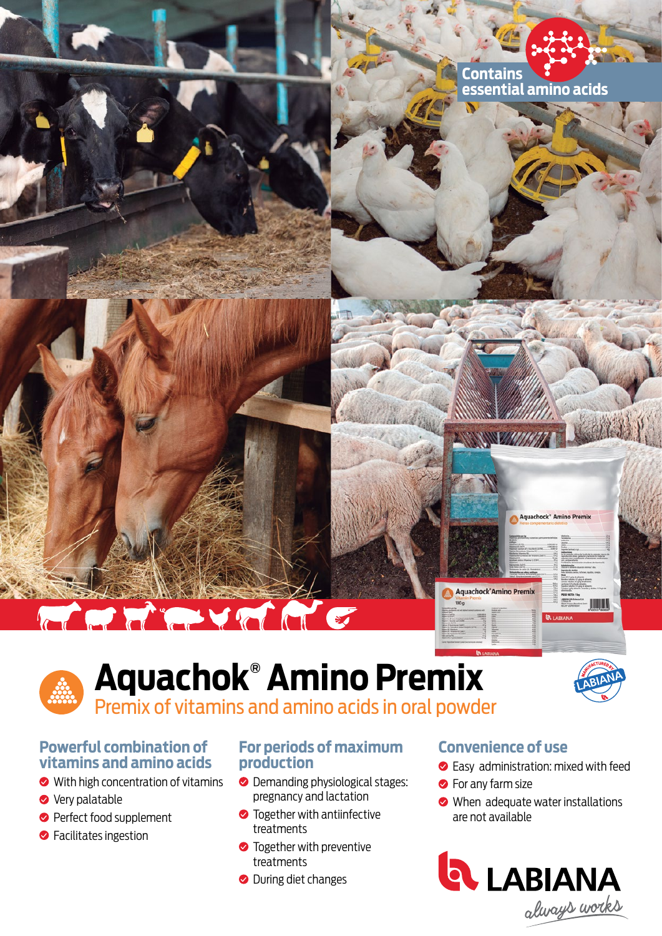

# The Committee of the Committee of the Committee of the Committee of the Committee of the Committee of the Committee of the Committee of the Committee of the Committee of the Committee of the Committee of the Committee of t

### **Aquachok® Amino Premix** Premix of vitamins and amino acids in oral powder





achock<sup>\*</sup> Amino Premix

#### **Powerful combination of vitamins and amino acids**

- **◆** With high concentration of vitamins
- **◆** Very palatable
- **Perfect food supplement**
- **S** Facilitates ingestion

#### **For periods of maximum production**

- **O** Demanding physiological stages: pregnancy and lactation
- **•** Together with antiinfective treatments
- **•** Together with preventive treatments
- **O** During diet changes

#### **Convenience of use**

Aquachock'Amino Premix

- **Easy administration: mixed with feed**
- **S** For any farm size
- When adequate water installations are not available